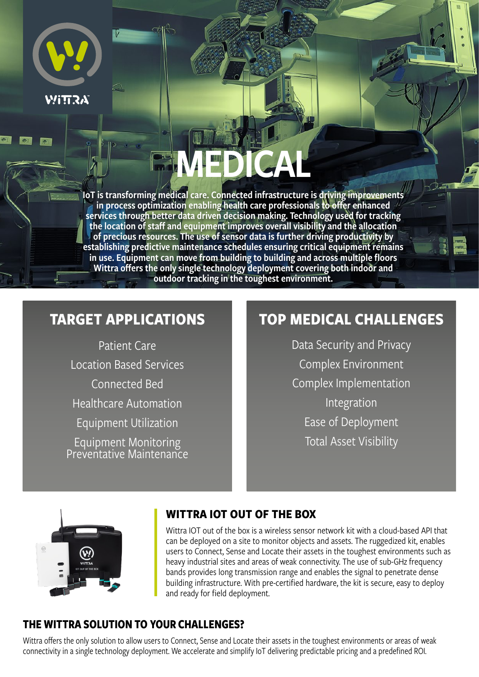

# MEDICAL

IoT is transforming medical care. Connected infrastructure is driving improvements in process optimization enabling health care professionals to offer enhanced services through better data driven decision making. Technology used for tracking the location of staff and equipment improves overall visibility and the allocation of precious resources. The use of sensor data is further driving productivity by establishing predictive maintenance schedules ensuring critical equipment remains in use. Equipment can move from building to building and across multiple floors Wittra offers the only single technology deployment covering both indoor and outdoor tracking in the toughest environment.

## **TARGET APPLICATIONS**

Patient Care Location Based Services Connected Bed Healthcare Automation Equipment Utilization Equipment Monitoring Preventative Maintenance

## **TOP MEDICAL CHALLENGES**

Data Security and Privacy Complex Environment Complex Implementation Integration Ease of Deployment Total Asset Visibility



#### **WITTRA IOT OUT OF THE BOX**

Wittra IOT out of the box is a wireless sensor network kit with a cloud-based API that can be deployed on a site to monitor objects and assets. The ruggedized kit, enables users to Connect, Sense and Locate their assets in the toughest environments such as heavy industrial sites and areas of weak connectivity. The use of sub-GHz frequency bands provides long transmission range and enables the signal to penetrate dense building infrastructure. With pre-certified hardware, the kit is secure, easy to deploy and ready for field deployment.

#### **THE WITTRA SOLUTION TO YOUR CHALLENGES?**

Wittra offers the only solution to allow users to Connect, Sense and Locate their assets in the toughest environments or areas of weak connectivity in a single technology deployment. We accelerate and simplify IoT delivering predictable pricing and a predefined ROI.